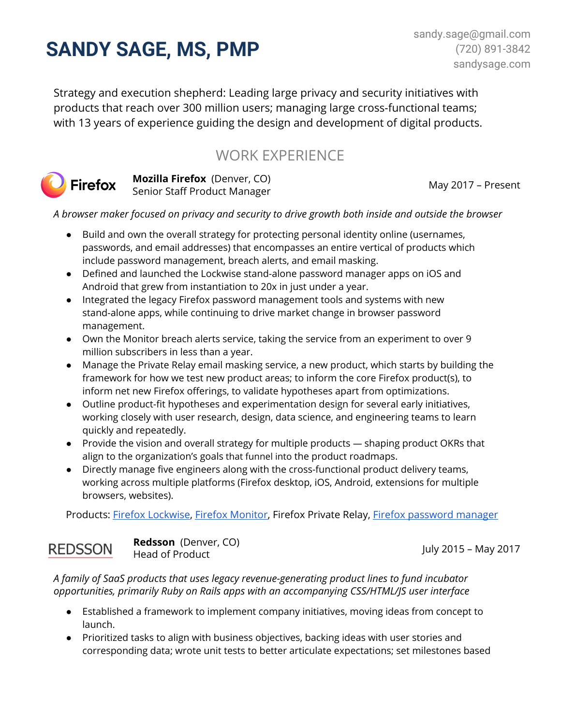# **SANDY SAGE, MS, PMP**

Strategy and execution shepherd: Leading large privacy and security initiatives with products that reach over 300 million users; managing large cross-functional teams; with 13 years of experience guiding the design and development of digital products.

# WORK EXPERIENCE



**Mozilla Firefox** (Denver, CO) Senior Staff Product Manager

May 2017 – Present

*A browser maker focused on privacy and security to drive growth both inside and outside the browser*

- Build and own the overall strategy for protecting personal identity online (usernames, passwords, and email addresses) that encompasses an entire vertical of products which include password management, breach alerts, and email masking.
- Defined and launched the Lockwise stand-alone password manager apps on iOS and Android that grew from instantiation to 20x in just under a year.
- Integrated the legacy Firefox password management tools and systems with new stand-alone apps, while continuing to drive market change in browser password management.
- Own the Monitor breach alerts service, taking the service from an experiment to over 9 million subscribers in less than a year.
- Manage the Private Relay email masking service, a new product, which starts by building the framework for how we test new product areas; to inform the core Firefox product(s), to inform net new Firefox offerings, to validate hypotheses apart from optimizations.
- Outline product-fit hypotheses and experimentation design for several early initiatives, working closely with user research, design, data science, and engineering teams to learn quickly and repeatedly.
- Provide the vision and overall strategy for multiple products shaping product OKRs that align to the organization's goals that funnel into the product roadmaps.
- Directly manage five engineers along with the cross-functional product delivery teams, working across multiple platforms (Firefox desktop, iOS, Android, extensions for multiple browsers, websites).

Products: Firefox [Lockwise,](https://www.mozilla.org/en-US/firefox/lockwise/) Firefox [Monitor](https://monitor.firefox.com/), Firefox Private Relay, Firefox [password](https://www.mozilla.org/en-US/firefox/features/password-manager/) manager

## **REDSSON**

**Redsson** (Denver, CO) Head of Product

July 2015 – May 2017

*A family of SaaS products that uses legacy revenue-generating product lines to fund incubator opportunities, primarily Ruby on Rails apps with an accompanying CSS/HTML/JS user interface*

- Established a framework to implement company initiatives, moving ideas from concept to launch.
- Prioritized tasks to align with business objectives, backing ideas with user stories and corresponding data; wrote unit tests to better articulate expectations; set milestones based